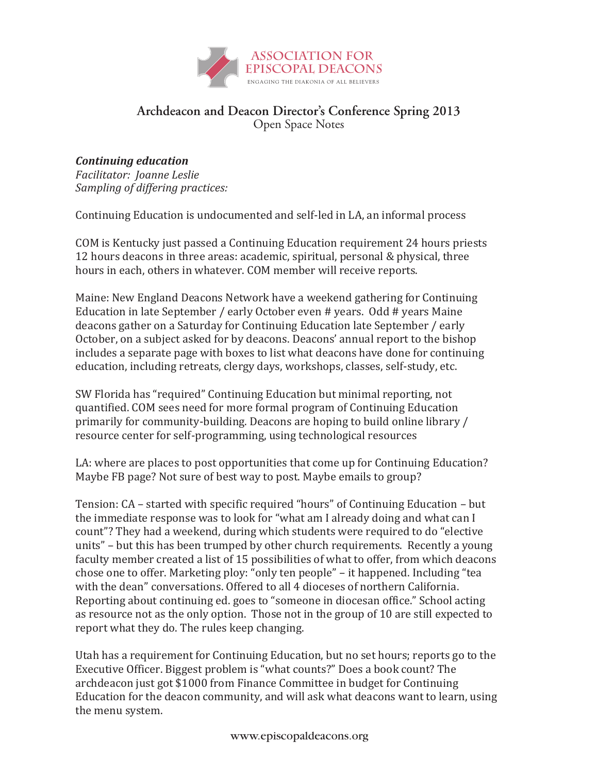

#### *Continuing education* Archdeacon and Deacon Director's Conference Spring 2013 Open Space Notes

# **(NAAD 2008 conference)** *Continuing education*

*Sampling of differing practices: Facilitator: Joanne Leslie*

Continuing Education is undocumented and self-led in LA, an informal process **(NAAD 2008 conference)**

COM is Kentucky just passed a Continuing Education requirement 24 hours priests *Sampling of differing practices:* 12 hours deacons in three areas: academic, spiritual, personal & physical, three hours in each, others in whatever. COM member will receive reports.

Maine: New England Deacons Network have a weekend gathering for Continuing Education in late September / early October even # years. Odd # years Maine deacons gather on a Saturday for Continuing Education late September / early October, on a subject asked for by deacons. Deacons' annual report to the bishop includes a separate page with boxes to list what deacons have done for continuing education, including retreats, clergy days, workshops, classes, self-study, etc.

SW Florida has "required" Continuing Education but minimal reporting, not quantified. COM sees need for more formal program of Continuing Education primarily for community-building. Deacons are hoping to build online library  $/$ resource center for self-programming, using technological resources deacons gather on a Saturday for Continuing Education late September / early SW Florida has "required" Continuing Education but minimal reporting, not

LA: where are places to post opportunities that come up for Continuing Education? Maybe FB page? Not sure of best way to post. Maybe emails to group? SW Florida has "required" Continuing Education but minimal reporting, not LA: where are places to post opportunities that come up for Continuing Educa

Tension: CA – started with specific required "hours" of Continuing Education – but the immediate response was to look for "what am I already doing and what can I  $\,$ count"? They had a weekend, during which students were required to do "elective" units" – but this has been trumped by other church requirements. Recently a young faculty member created a list of 15 possibilities of what to offer, from which deacons chose one to offer. Marketing ploy: "only ten people" – it happened. Including "tea with the dean" conversations. Offered to all 4 dioceses of northern California. Reporting about continuing ed. goes to "someone in diocesan office." School acting as resource not as the only option. Those not in the group of  $10$  are still expected to  $\,$ report what they do. The rules keep changing. resource center for self-programming, using technological resources

Utah has a requirement for Continuing Education, but no set hours; reports go to the Executive Officer. Biggest problem is "what counts?" Does a book count? The archdeacon just got \$1000 from Finance Committee in budget for Continuing Education for the deacon community, and will ask what deacons want to learn, using the menu system. The menu system of  $\mathcal{L}$  reports go to the continuing Education, but no set  $\mathcal{L}$  reports go to the continuing  $\mathcal{L}$  reports go to the continuing  $\mathcal{L}$  reports go to the continuing  $\mathcal{L}$  rep with the dean" conversations. Offered to all 4 dioceses of northern California. Utah has a requirement for Continuing Education, but no set hours; reports go to tr